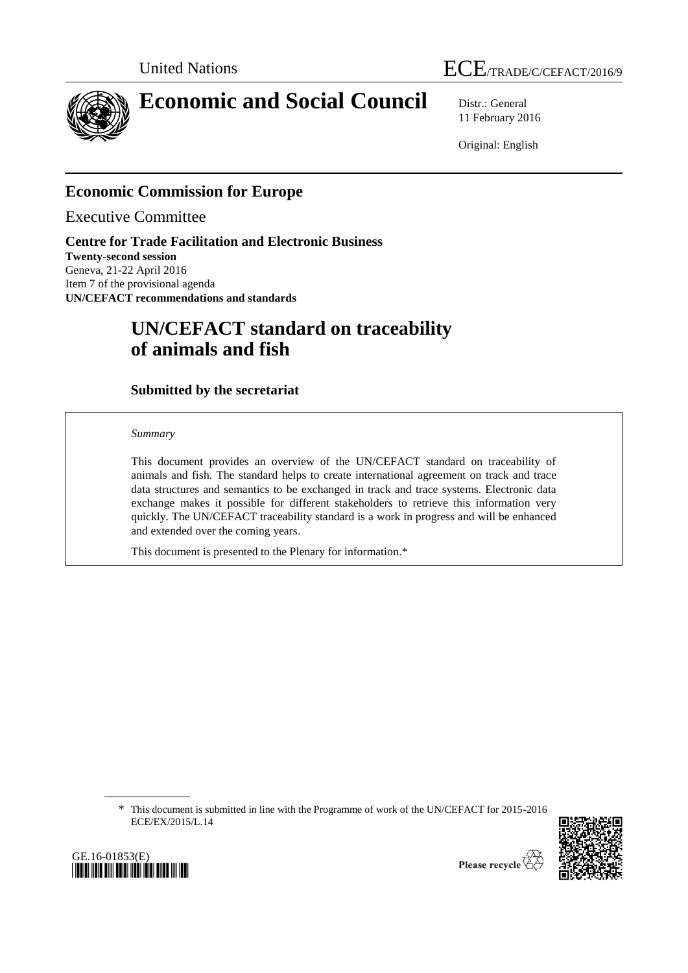



# **Economic and Social Council** Distr.: General

11 February 2016

Original: English

## **Economic Commission for Europe**

Executive Committee

**Centre for Trade Facilitation and Electronic Business Twenty-second session** Geneva, 21-22 April 2016 Item 7 of the provisional agenda **UN/CEFACT recommendations and standards**

## **UN/CEFACT standard on traceability of animals and fish**

## **Submitted by the secretariat**

*Summary*

This document provides an overview of the UN/CEFACT standard on traceability of animals and fish. The standard helps to create international agreement on track and trace data structures and semantics to be exchanged in track and trace systems. Electronic data exchange makes it possible for different stakeholders to retrieve this information very quickly. The UN/CEFACT traceability standard is a work in progress and will be enhanced and extended over the coming years.

This document is presented to the Plenary for information.\*

\* This document is submitted in line with the Programme of work of the UN/CEFACT for 2015-2016 ECE/EX/2015/L.14



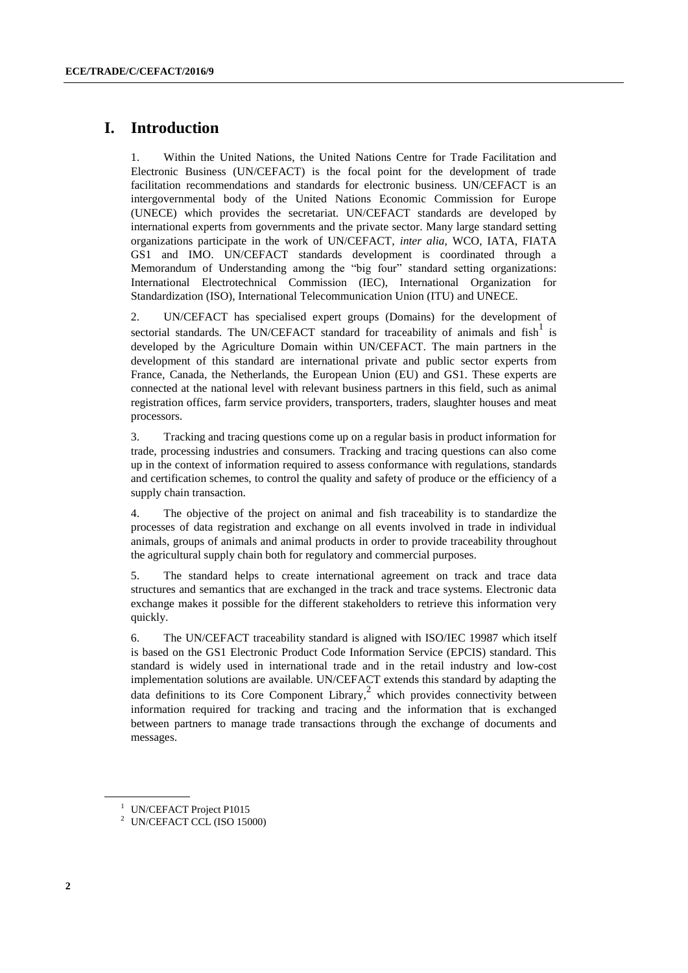## **I. Introduction**

1. Within the United Nations, the United Nations Centre for Trade Facilitation and Electronic Business (UN/CEFACT) is the focal point for the development of trade facilitation recommendations and standards for electronic business. UN/CEFACT is an intergovernmental body of the United Nations Economic Commission for Europe (UNECE) which provides the secretariat. UN/CEFACT standards are developed by international experts from governments and the private sector. Many large standard setting organizations participate in the work of UN/CEFACT, *inter alia*, WCO, IATA, FIATA GS1 and IMO. UN/CEFACT standards development is coordinated through a Memorandum of Understanding among the "big four" standard setting organizations: International Electrotechnical Commission (IEC), International Organization for Standardization (ISO), International Telecommunication Union (ITU) and UNECE.

2. UN/CEFACT has specialised expert groups (Domains) for the development of sectorial standards. The UN/CEFACT standard for traceability of animals and  $fish<sup>1</sup>$  is developed by the Agriculture Domain within UN/CEFACT. The main partners in the development of this standard are international private and public sector experts from France, Canada, the Netherlands, the European Union (EU) and GS1. These experts are connected at the national level with relevant business partners in this field, such as animal registration offices, farm service providers, transporters, traders, slaughter houses and meat processors.

3. Tracking and tracing questions come up on a regular basis in product information for trade, processing industries and consumers. Tracking and tracing questions can also come up in the context of information required to assess conformance with regulations, standards and certification schemes, to control the quality and safety of produce or the efficiency of a supply chain transaction.

4. The objective of the project on animal and fish traceability is to standardize the processes of data registration and exchange on all events involved in trade in individual animals, groups of animals and animal products in order to provide traceability throughout the agricultural supply chain both for regulatory and commercial purposes.

5. The standard helps to create international agreement on track and trace data structures and semantics that are exchanged in the track and trace systems. Electronic data exchange makes it possible for the different stakeholders to retrieve this information very quickly.

6. The UN/CEFACT traceability standard is aligned with ISO/IEC 19987 which itself is based on the GS1 Electronic Product Code Information Service (EPCIS) standard. This standard is widely used in international trade and in the retail industry and low-cost implementation solutions are available. UN/CEFACT extends this standard by adapting the data definitions to its Core Component Library, 2 which provides connectivity between information required for tracking and tracing and the information that is exchanged between partners to manage trade transactions through the exchange of documents and messages.

<sup>&</sup>lt;sup>1</sup> UN/CEFAC[T Project P1015](http://www1.unece.org/cefact/platform/display/CNP/Animal+traceability+data+exchange)

<sup>2</sup> UN/CEFACT CCL (ISO 15000)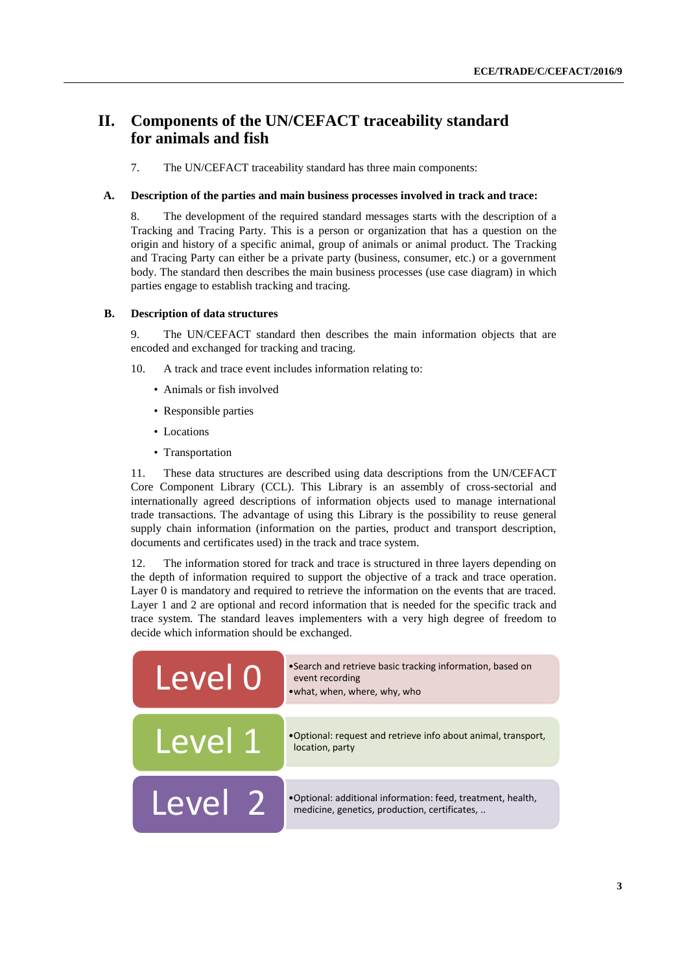## **II. Components of the UN/CEFACT traceability standard for animals and fish**

7. The UN/CEFACT traceability standard has three main components:

#### **A. Description of the parties and main business processes involved in track and trace:**

8. The development of the required standard messages starts with the description of a Tracking and Tracing Party. This is a person or organization that has a question on the origin and history of a specific animal, group of animals or animal product. The Tracking and Tracing Party can either be a private party (business, consumer, etc.) or a government body. The standard then describes the main business processes (use case diagram) in which parties engage to establish tracking and tracing.

#### **B. Description of data structures**

9. The UN/CEFACT standard then describes the main information objects that are encoded and exchanged for tracking and tracing.

- 10. A track and trace event includes information relating to:
	- Animals or fish involved
	- Responsible parties
	- Locations
	- Transportation

11. These data structures are described using data descriptions from the UN/CEFACT Core Component Library (CCL). This Library is an assembly of cross-sectorial and internationally agreed descriptions of information objects used to manage international trade transactions. The advantage of using this Library is the possibility to reuse general supply chain information (information on the parties, product and transport description, documents and certificates used) in the track and trace system.

12. The information stored for track and trace is structured in three layers depending on the depth of information required to support the objective of a track and trace operation. Layer 0 is mandatory and required to retrieve the information on the events that are traced. Layer 1 and 2 are optional and record information that is needed for the specific track and trace system. The standard leaves implementers with a very high degree of freedom to decide which information should be exchanged.

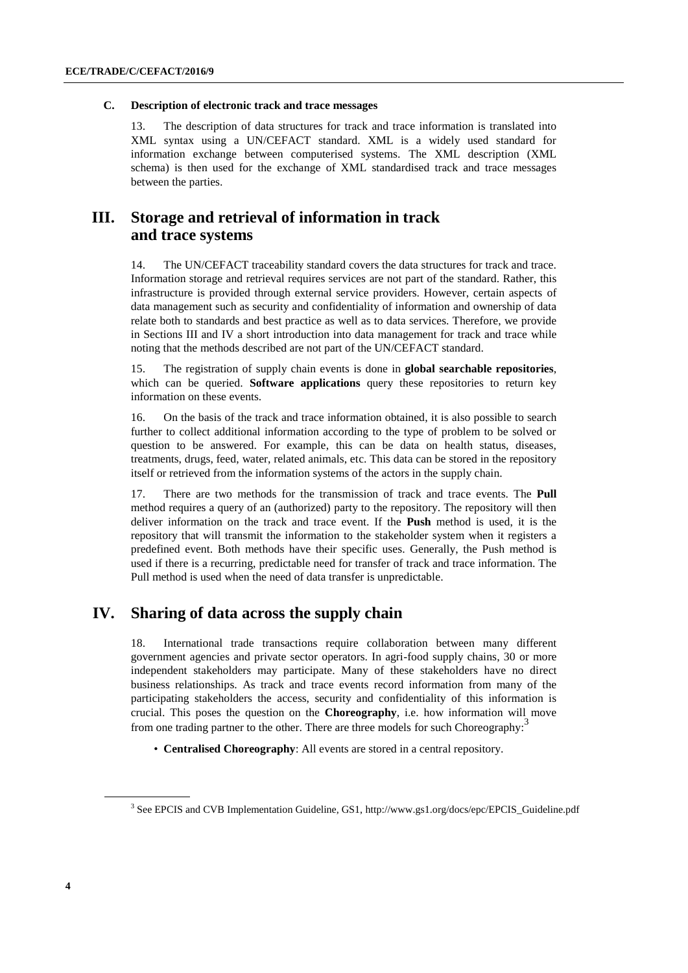#### **C. Description of electronic track and trace messages**

13. The description of data structures for track and trace information is translated into XML syntax using a UN/CEFACT standard. XML is a widely used standard for information exchange between computerised systems. The XML description (XML schema) is then used for the exchange of XML standardised track and trace messages between the parties.

## **III. Storage and retrieval of information in track and trace systems**

14. The UN/CEFACT traceability standard covers the data structures for track and trace. Information storage and retrieval requires services are not part of the standard. Rather, this infrastructure is provided through external service providers. However, certain aspects of data management such as security and confidentiality of information and ownership of data relate both to standards and best practice as well as to data services. Therefore, we provide in Sections III and IV a short introduction into data management for track and trace while noting that the methods described are not part of the UN/CEFACT standard.

15. The registration of supply chain events is done in **global searchable repositories**, which can be queried. **Software applications** query these repositories to return key information on these events.

16. On the basis of the track and trace information obtained, it is also possible to search further to collect additional information according to the type of problem to be solved or question to be answered. For example, this can be data on health status, diseases, treatments, drugs, feed, water, related animals, etc. This data can be stored in the repository itself or retrieved from the information systems of the actors in the supply chain.

17. There are two methods for the transmission of track and trace events. The **Pull** method requires a query of an (authorized) party to the repository. The repository will then deliver information on the track and trace event. If the **Push** method is used, it is the repository that will transmit the information to the stakeholder system when it registers a predefined event. Both methods have their specific uses. Generally, the Push method is used if there is a recurring, predictable need for transfer of track and trace information. The Pull method is used when the need of data transfer is unpredictable.

### **IV. Sharing of data across the supply chain**

18. International trade transactions require collaboration between many different government agencies and private sector operators. In agri-food supply chains, 30 or more independent stakeholders may participate. Many of these stakeholders have no direct business relationships. As track and trace events record information from many of the participating stakeholders the access, security and confidentiality of this information is crucial. This poses the question on the **Choreography**, i.e. how information will move from one trading partner to the other. There are three models for such Choreography:<sup>3</sup>

• **Centralised Choreography**: All events are stored in a central repository.

<sup>3</sup> See EPCIS and CVB Implementation Guideline, GS1, [http://www.gs1.org/docs/epc/EPCIS\\_Guideline.pdf](http://www.gs1.org/docs/epc/EPCIS_Guideline.pdf)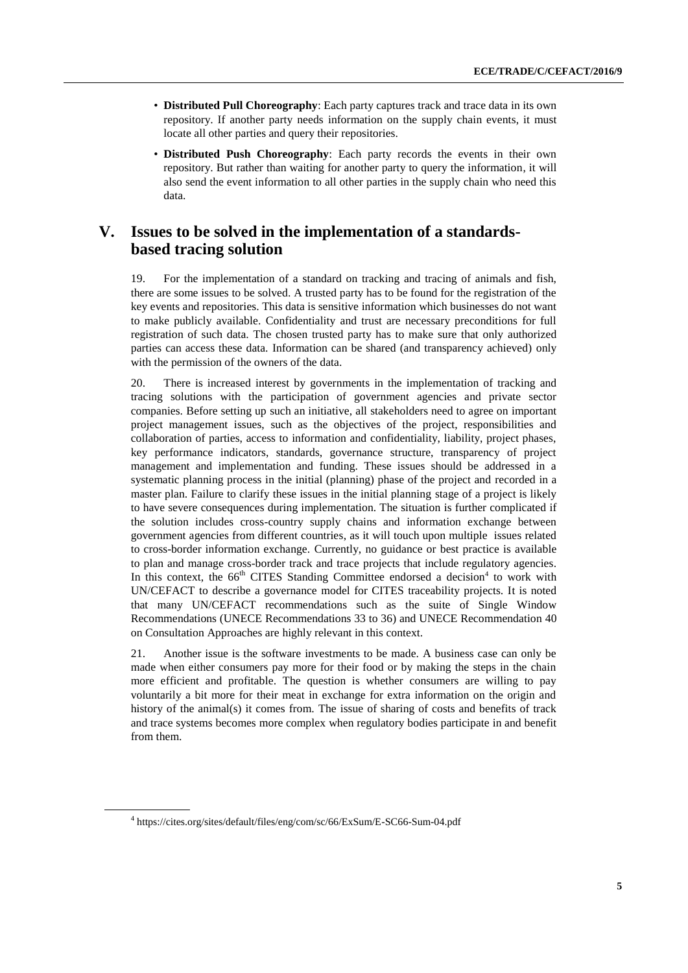- **Distributed Pull Choreography**: Each party captures track and trace data in its own repository. If another party needs information on the supply chain events, it must locate all other parties and query their repositories.
- **Distributed Push Choreography**: Each party records the events in their own repository. But rather than waiting for another party to query the information, it will also send the event information to all other parties in the supply chain who need this data.

## **V. Issues to be solved in the implementation of a standardsbased tracing solution**

19. For the implementation of a standard on tracking and tracing of animals and fish, there are some issues to be solved. A trusted party has to be found for the registration of the key events and repositories. This data is sensitive information which businesses do not want to make publicly available. Confidentiality and trust are necessary preconditions for full registration of such data. The chosen trusted party has to make sure that only authorized parties can access these data. Information can be shared (and transparency achieved) only with the permission of the owners of the data.

20. There is increased interest by governments in the implementation of tracking and tracing solutions with the participation of government agencies and private sector companies. Before setting up such an initiative, all stakeholders need to agree on important project management issues, such as the objectives of the project, responsibilities and collaboration of parties, access to information and confidentiality, liability, project phases, key performance indicators, standards, governance structure, transparency of project management and implementation and funding. These issues should be addressed in a systematic planning process in the initial (planning) phase of the project and recorded in a master plan. Failure to clarify these issues in the initial planning stage of a project is likely to have severe consequences during implementation. The situation is further complicated if the solution includes cross-country supply chains and information exchange between government agencies from different countries, as it will touch upon multiple issues related to cross-border information exchange. Currently, no guidance or best practice is available to plan and manage cross-border track and trace projects that include regulatory agencies. In this context, the 66<sup>th</sup> CITES Standing Committee endorsed a decision<sup>4</sup> to work with UN/CEFACT to describe a governance model for CITES traceability projects. It is noted that many UN/CEFACT recommendations such as the suite of Single Window Recommendations (UNECE Recommendations 33 to 36) and UNECE Recommendation 40 on Consultation Approaches are highly relevant in this context.

21. Another issue is the software investments to be made. A business case can only be made when either consumers pay more for their food or by making the steps in the chain more efficient and profitable. The question is whether consumers are willing to pay voluntarily a bit more for their meat in exchange for extra information on the origin and history of the animal(s) it comes from. The issue of sharing of costs and benefits of track and trace systems becomes more complex when regulatory bodies participate in and benefit from them.

<sup>4</sup> https://cites.org/sites/default/files/eng/com/sc/66/ExSum/E-SC66-Sum-04.pdf